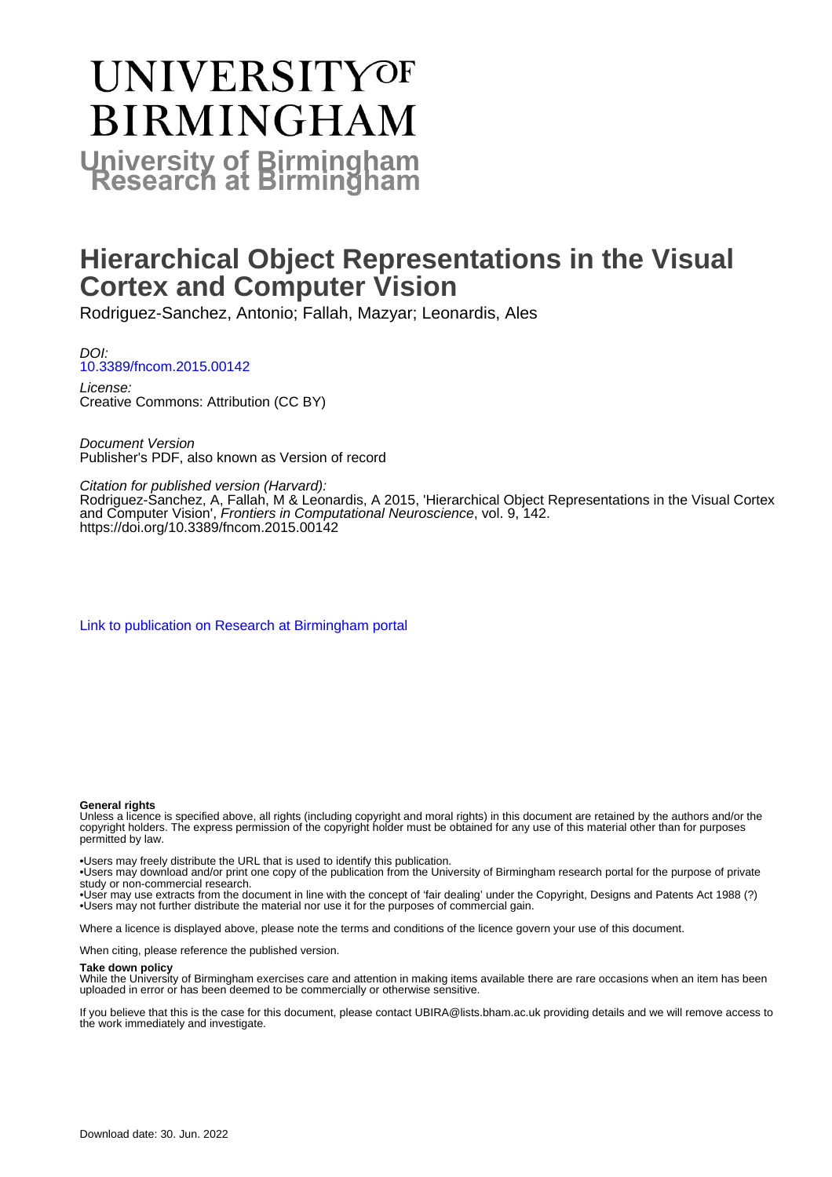# **UNIVERSITYOF BIRMINGHAM University of Birmingham**

# **Hierarchical Object Representations in the Visual Cortex and Computer Vision**

Rodriguez-Sanchez, Antonio; Fallah, Mazyar; Leonardis, Ales

DOI: [10.3389/fncom.2015.00142](https://doi.org/10.3389/fncom.2015.00142)

License: Creative Commons: Attribution (CC BY)

Document Version Publisher's PDF, also known as Version of record

Citation for published version (Harvard):

Rodriguez-Sanchez, A, Fallah, M & Leonardis, A 2015, 'Hierarchical Object Representations in the Visual Cortex and Computer Vision', Frontiers in Computational Neuroscience, vol. 9, 142. <https://doi.org/10.3389/fncom.2015.00142>

[Link to publication on Research at Birmingham portal](https://birmingham.elsevierpure.com/en/publications/bd15f2c4-7219-489b-8ec5-1a109c0e033e)

### **General rights**

Unless a licence is specified above, all rights (including copyright and moral rights) in this document are retained by the authors and/or the copyright holders. The express permission of the copyright holder must be obtained for any use of this material other than for purposes permitted by law.

• Users may freely distribute the URL that is used to identify this publication.

• Users may download and/or print one copy of the publication from the University of Birmingham research portal for the purpose of private study or non-commercial research.

• User may use extracts from the document in line with the concept of 'fair dealing' under the Copyright, Designs and Patents Act 1988 (?) • Users may not further distribute the material nor use it for the purposes of commercial gain.

Where a licence is displayed above, please note the terms and conditions of the licence govern your use of this document.

When citing, please reference the published version.

### **Take down policy**

While the University of Birmingham exercises care and attention in making items available there are rare occasions when an item has been uploaded in error or has been deemed to be commercially or otherwise sensitive.

If you believe that this is the case for this document, please contact UBIRA@lists.bham.ac.uk providing details and we will remove access to the work immediately and investigate.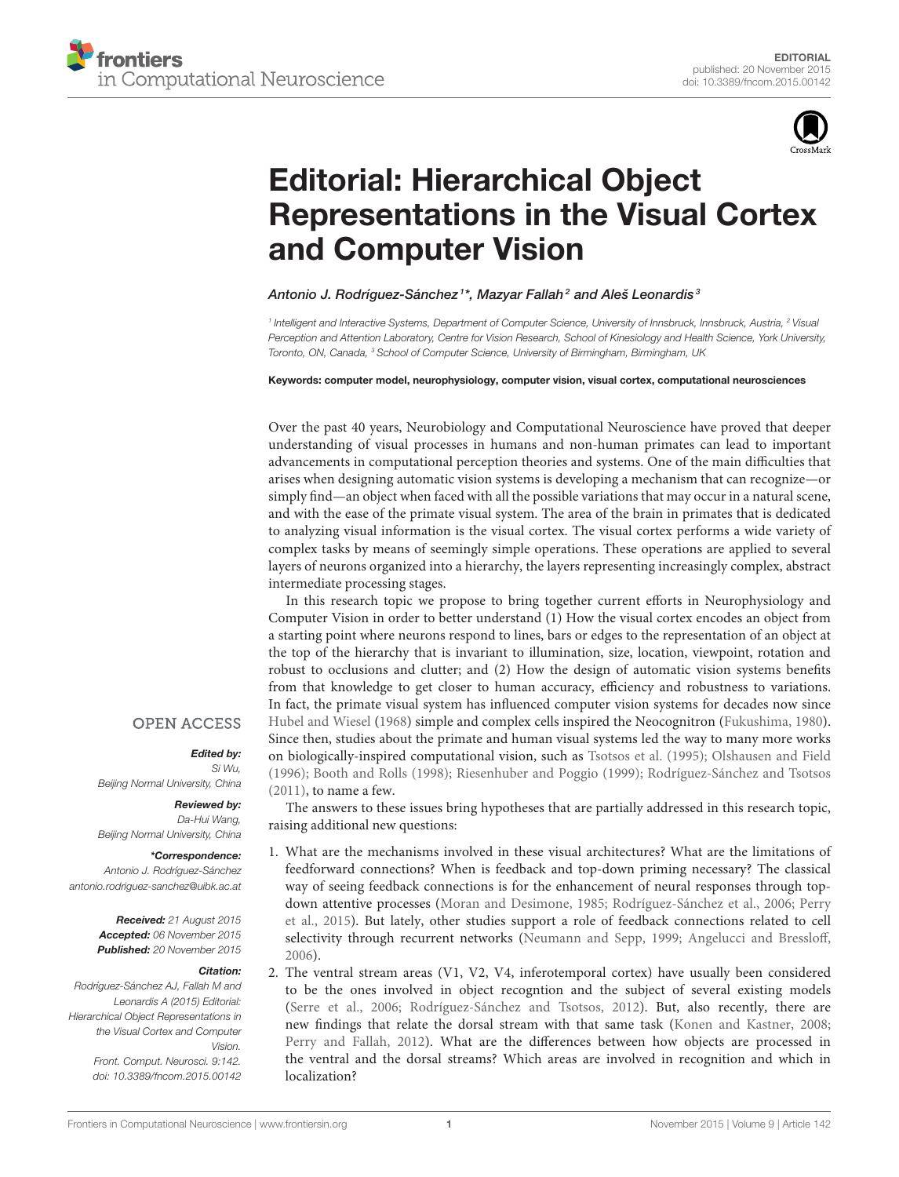

# Editorial: Hierarchical Object [Representations in the Visual Cortex](http://journal.frontiersin.org/article/10.3389/fncom.2015.00142/full) and Computer Vision

# [Antonio J. Rodríguez-Sánchez](http://loop.frontiersin.org/people/112523/overview)  $^{\text{!}*}$ , [Mazyar Fallah](http://loop.frontiersin.org/people/41759/overview) $^{\text{2}}$  and [Aleš Leonardis](http://loop.frontiersin.org/people/112744/overview)  $^{\text{3}}$

<sup>1</sup> Intelligent and Interactive Systems, Department of Computer Science, University of Innsbruck, Innsbruck, Austria, <sup>2</sup> Visual Perception and Attention Laboratory, Centre for Vision Research, School of Kinesiology and Health Science, York University, Toronto, ON, Canada, <sup>3</sup> School of Computer Science, University of Birmingham, Birmingham, UK

#### Keywords: computer model, neurophysiology, computer vision, visual cortex, computational neurosciences

Over the past 40 years, Neurobiology and Computational Neuroscience have proved that deeper understanding of visual processes in humans and non-human primates can lead to important advancements in computational perception theories and systems. One of the main difficulties that arises when designing automatic vision systems is developing a mechanism that can recognize—or simply find—an object when faced with all the possible variations that may occur in a natural scene, and with the ease of the primate visual system. The area of the brain in primates that is dedicated to analyzing visual information is the visual cortex. The visual cortex performs a wide variety of complex tasks by means of seemingly simple operations. These operations are applied to several layers of neurons organized into a hierarchy, the layers representing increasingly complex, abstract intermediate processing stages.

In this research topic we propose to bring together current efforts in Neurophysiology and Computer Vision in order to better understand (1) How the visual cortex encodes an object from a starting point where neurons respond to lines, bars or edges to the representation of an object at the top of the hierarchy that is invariant to illumination, size, location, viewpoint, rotation and robust to occlusions and clutter; and (2) How the design of automatic vision systems benefits from that knowledge to get closer to human accuracy, efficiency and robustness to variations. In fact, the primate visual system has influenced computer vision systems for decades now since [Hubel and Wiesel](#page-3-0) [\(1968\)](#page-3-0) simple and complex cells inspired the Neocognitron [\(Fukushima, 1980\)](#page-3-1). Since then, studies about the primate and human visual systems led the way to many more works on biologically-inspired computational vision, such as [Tsotsos et al. \(1995\)](#page-4-0); [Olshausen and Field](#page-3-2) [\(1996\)](#page-3-2); [Booth and Rolls \(1998\)](#page-3-3); [Riesenhuber and Poggio \(1999\)](#page-3-4); [Rodríguez-Sánchez and Tsotsos](#page-3-5) [\(2011\)](#page-3-5), to name a few.

The answers to these issues bring hypotheses that are partially addressed in this research topic, raising additional new questions:

- 1. What are the mechanisms involved in these visual architectures? What are the limitations of feedforward connections? When is feedback and top-down priming necessary? The classical way of seeing feedback connections is for the enhancement of neural responses through topdown attentive processes [\(Moran and Desimone, 1985;](#page-3-6) [Rodríguez-Sánchez et al., 2006;](#page-4-1) Perry et al., [2015\)](#page-3-7). But lately, other studies support a role of feedback connections related to cell selectivity through recurrent networks [\(Neumann and Sepp, 1999;](#page-3-8) [Angelucci and Bressloff,](#page-3-9) [2006\)](#page-3-9).
- 2. The ventral stream areas (V1, V2, V4, inferotemporal cortex) have usually been considered to be the ones involved in object recogntion and the subject of several existing models [\(Serre et al., 2006;](#page-4-2) [Rodríguez-Sánchez and Tsotsos, 2012\)](#page-4-3). But, also recently, there are new findings that relate the dorsal stream with that same task [\(Konen and Kastner, 2008;](#page-3-10) [Perry and Fallah, 2012\)](#page-3-11). What are the differences between how objects are processed in the ventral and the dorsal streams? Which areas are involved in recognition and which in localization?

# **OPEN ACCESS**

#### Edited by:

Si Wu, Beijing Normal University, China

# Reviewed by:

Da-Hui Wang, Beijing Normal University, China

#### \*Correspondence:

Antonio J. Rodríguez-Sánchez [antonio.rodriguez-sanchez@uibk.ac.at](mailto:antonio.rodriguez-sanchez@uibk.ac.at)

> Received: 21 August 2015 Accepted: 06 November 2015 Published: 20 November 2015

#### Citation:

Rodríguez-Sánchez AJ, Fallah M and Leonardis A (2015) Editorial: Hierarchical Object Representations in the Visual Cortex and Computer Vision. Front. Comput. Neurosci. 9:142. doi: [10.3389/fncom.2015.00142](http://dx.doi.org/10.3389/fncom.2015.00142)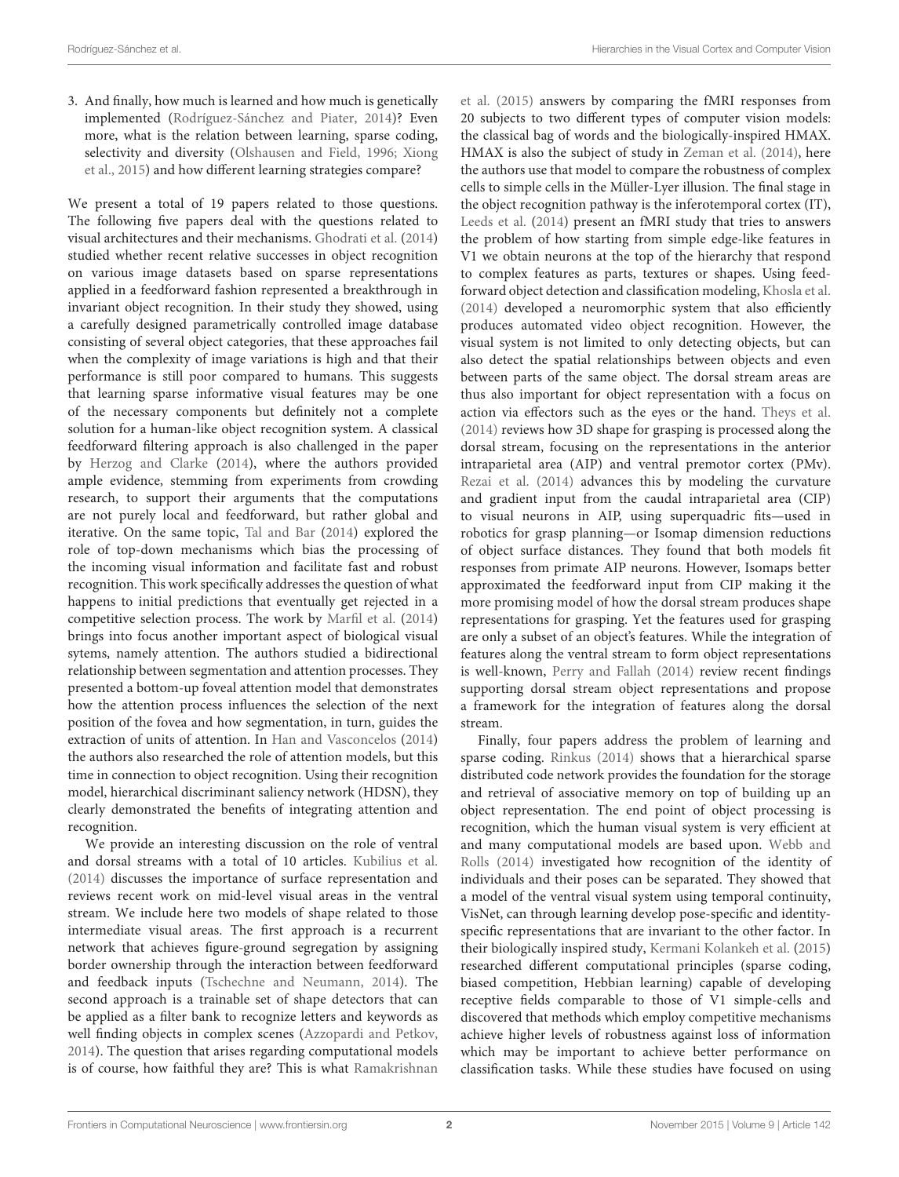3. And finally, how much is learned and how much is genetically implemented [\(Rodríguez-Sánchez and Piater, 2014\)](#page-3-12)? Even more, what is the relation between learning, sparse coding, selectivity and diversity [\(Olshausen and Field, 1996;](#page-3-2) Xiong et al., [2015\)](#page-4-4) and how different learning strategies compare?

We present a total of 19 papers related to those questions. The following five papers deal with the questions related to visual architectures and their mechanisms. [Ghodrati et al.](#page-3-13) [\(2014\)](#page-3-13) studied whether recent relative successes in object recognition on various image datasets based on sparse representations applied in a feedforward fashion represented a breakthrough in invariant object recognition. In their study they showed, using a carefully designed parametrically controlled image database consisting of several object categories, that these approaches fail when the complexity of image variations is high and that their performance is still poor compared to humans. This suggests that learning sparse informative visual features may be one of the necessary components but definitely not a complete solution for a human-like object recognition sys[tem. A classical](#page-3-19) feedforward filtering approach is also challenged in the paper by [Herzog and Clarke](#page-3-14) [\(2014\)](#page-3-14), where the authors provided ample evidence, stemming from experiments from crowding research, to support their arguments that the computations are not purely local and feedforward, but rather global and iterative. On the same topic, [Tal and Bar](#page-4-5) [\(2014\)](#page-4-5) explored the role of top-down mechanisms which bias the processing of the incoming visual information and facilitate fast and robust recognition. This work specifically addresses the question of what happens to initial predictions that eventually get rejected in a competitive selection process. The work by [Marfil et al.](#page-3-15) [\(2014\)](#page-3-15) brings into focus another important aspect of biological visual sytems, namely attention. The authors studied a bidirectional relationship between segmentation and attention processes. They presented a bottom-up foveal attention model that demonstrates how the attention process influences the selection of the next position of the fovea and how segmentation, in turn, guides the extraction of units of attention. In [Han and Vasconcelos](#page-3-16) [\(2014\)](#page-3-16) the authors also researched the role of attention models, but this time in connection to object recognition. Using their recognition model, hierarchical discriminant saliency network (HDSN), they clearly demonstrated the benefits of integrating attention and recognition.

We provide an interesting discussion on the role of ventral and dorsal streams with a total of 10 articles. [Kubilius et al.](#page-3-17) [\(2014\)](#page-3-17) discusses the importance of surface representation and reviews recent work on mid-level visual areas in the ventral stream. We include here two models of shape related to those intermediate visual areas. The first approach is a recurrent network that achieves figure-ground segregation by assigning border ownership through the interaction between feedforward and feedback inputs [\(Tschechne and Neumann, 2014\)](#page-4-6). The second approach is a trainable set of shape detectors that can be applied as a filter bank to recognize letters and keywords as well finding objects in complex scenes [\(Azzopardi and Petkov,](#page-3-18) [2014\)](#page-3-18). The question that arises regarding computational models is of course, how faithful they are? This is what Ramakrishnan et al. [\(2015\)](#page-3-19) answers by comparing the fMRI responses from 20 subjects to two different types of computer vision models: the classical bag of words and the biologically-inspired HMAX. HMAX is also the subject of study in [Zeman et al. \(2014\)](#page-4-7), here the authors use that model to compare the robustness of complex cells to simple cells in the Müller-Lyer illusion. The final stage in the object recognition pathway is the inferotemporal cortex (IT), [Leeds et al.](#page-3-20) [\(2014\)](#page-3-20) present an fMRI study that tries to answers the problem of how starting from simple edge-like features in V1 we obtain neurons at the top of the hierarchy that respond to complex features as parts, textures or shapes. Using feedforward object detection and classification modeling, [Khosla et al.](#page-3-21) [\(2014\)](#page-3-21) developed a neuromorphic system that also efficiently produces automated video object recognition. However, the visual system is not limited to only detecting objects, but can also detect the spatial relationships between objects and even between parts of the same object. The dorsal stream areas are thus also important for object representation with a focus on action via effectors such as the eyes or the hand. [Theys et al.](#page-4-8) [\(2014\)](#page-4-8) reviews how 3D shape for grasping is processed along the dorsal stream, focusing on the representations in the anterior intraparietal area (AIP) and ventral premotor cortex (PMv). [Rezai et al. \(2014\)](#page-3-22) advances this by modeling the curvature and gradient input from the caudal intraparietal area (CIP) to visual neurons in AIP, using superquadric fits—used in robotics for grasp planning—or Isomap dimension reductions of object surface distances. They found that both models fit responses from primate AIP neurons. However, Isomaps better approximated the feedforward input from CIP making it the more promising model of how the dorsal stream produces shape representations for grasping. Yet the features used for grasping are only a subset of an object's features. While the integration of features along the ventral stream to form object representations is well-known, [Perry and Fallah \(2014\)](#page-3-23) review recent findings supporting dorsal stream object representations and propose a framework for the integration of features along the dorsal stream.

Finally, four papers address the problem of learning and sparse coding. [Rinkus \(2014\)](#page-3-24) shows that a hierarchical sparse distributed code network provides the foundation for the storage and retrieval of associative memory on top of building up an object representation. The end point of object processing is recognition, which the human visual system is very efficient at and many computational models are based upon. Webb and Rolls [\(2014\)](#page-4-9) investigated how recognition of the identity of individuals and their poses can be separated. They showed that a model of the ventral visual system using temporal continuity, VisNet, can through learning develop pose-specific and identityspecific representations that are invariant to the other factor. In their biologically inspired study, [Kermani Kolankeh et al.](#page-3-25) [\(2015\)](#page-3-25) researched different computational principles (sparse coding, biased competition, Hebbian learning) capable of developing receptive fields comparable to those of V1 simple-cells and discovered that methods which employ competitive mechanisms achieve higher levels of robustness against loss of information which may be important to achieve better performance on classification tasks. While these studies have focused on using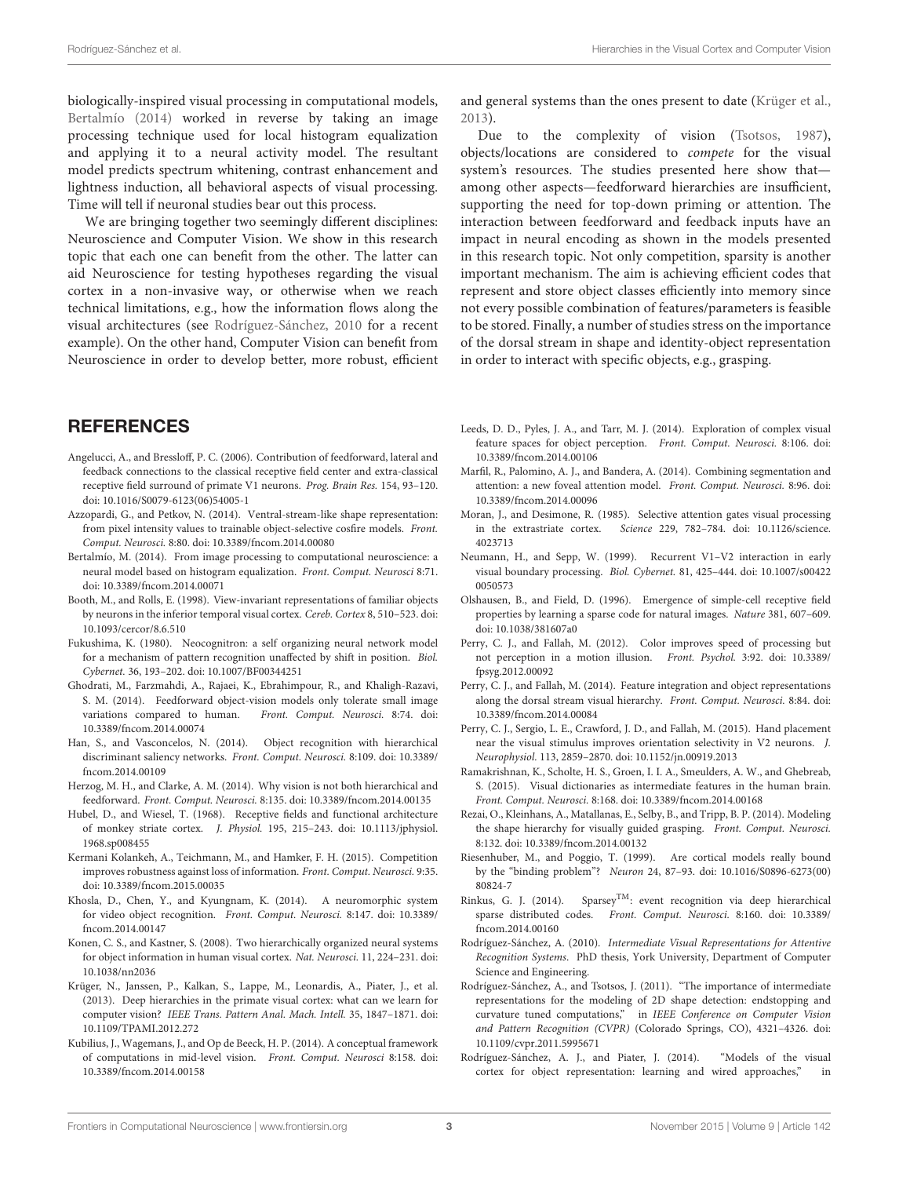biologically-inspired visual processing in computational models, [Bertalmío \(2014\)](#page-3-26) worked in reverse by taking an image processing technique used for local histogram equalization and applying it to a neural activity model. The resultant model predicts spectrum whitening, contrast enhancement and lightness induction, all behavioral aspects of visual processing. Time will tell if neuronal studies bear out this process.

We are bringing together two seemingly different disciplines: Neuroscience and Computer Vision. We show in this research topic that each one can benefit from the other. The latter can aid Neuroscience for testing hypotheses regarding the visual cortex in a non-invasive way, or otherwise when we reach technical limitations, e.g., how the information flows along the visual architectures (see [Rodríguez-Sánchez, 2010](#page-3-27) for a recent example). On the other hand, Computer Vision can benefit from Neuroscience in order to develop better, more robust, efficient

# **REFERENCES**

- <span id="page-3-9"></span>Angelucci, A., and Bressloff, P. C. (2006). Contribution of feedforward, lateral and feedback connections to the classical receptive field center and extra-classical receptive field surround of primate V1 neurons. Prog. Brain Res. 154, 93–120. doi: 10.1016/S0079-6123(06)54005-1
- <span id="page-3-18"></span>Azzopardi, G., and Petkov, N. (2014). Ventral-stream-like shape representation: from pixel intensity values to trainable object-selective cosfire models. Front. Comput. Neurosci. 8:80. doi: 10.3389/fncom.2014.00080
- <span id="page-3-26"></span>Bertalmío, M. (2014). From image processing to computational neuroscience: a neural model based on histogram equalization. Front. Comput. Neurosci 8:71. doi: 10.3389/fncom.2014.00071
- <span id="page-3-3"></span>Booth, M., and Rolls, E. (1998). View-invariant representations of familiar objects by neurons in the inferior temporal visual cortex. Cereb. Cortex 8, 510–523. doi: 10.1093/cercor/8.6.510
- <span id="page-3-1"></span>Fukushima, K. (1980). Neocognitron: a self organizing neural network model for a mechanism of pattern recognition unaffected by shift in position. Biol. Cybernet. 36, 193–202. doi: 10.1007/BF00344251
- <span id="page-3-13"></span>Ghodrati, M., Farzmahdi, A., Rajaei, K., Ebrahimpour, R., and Khaligh-Razavi, S. M. (2014). Feedforward object-vision models only tolerate small image variations compared to human. Front. Comput. Neurosci. 8:74. doi: Front. Comput. Neurosci. 8:74. doi: 10.3389/fncom.2014.00074
- <span id="page-3-16"></span>Han, S., and Vasconcelos, N. (2014). Object recognition with hierarchical discriminant saliency networks. Front. Comput. Neurosci. 8:109. doi: 10.3389/ fncom.2014.00109
- <span id="page-3-14"></span>Herzog, M. H., and Clarke, A. M. (2014). Why vision is not both hierarchical and feedforward. Front. Comput. Neurosci. 8:135. doi: 10.3389/fncom.2014.00135
- <span id="page-3-0"></span>Hubel, D., and Wiesel, T. (1968). Receptive fields and functional architecture of monkey striate cortex. J. Physiol. 195, 215–243. doi: 10.1113/jphysiol. 1968.sp008455
- <span id="page-3-25"></span>Kermani Kolankeh, A., Teichmann, M., and Hamker, F. H. (2015). Competition improves robustness against loss of information. Front. Comput. Neurosci. 9:35. doi: 10.3389/fncom.2015.00035
- <span id="page-3-21"></span>Khosla, D., Chen, Y., and Kyungnam, K. (2014). A neuromorphic system for video object recognition. Front. Comput. Neurosci. 8:147. doi: 10.3389/ fncom.2014.00147
- <span id="page-3-10"></span>Konen, C. S., and Kastner, S. (2008). Two hierarchically organized neural systems for object information in human visual cortex. Nat. Neurosci. 11, 224–231. doi: 10.1038/nn2036
- <span id="page-3-28"></span>Krüger, N., Janssen, P., Kalkan, S., Lappe, M., Leonardis, A., Piater, J., et al. (2013). Deep hierarchies in the primate visual cortex: what can we learn for computer vision? IEEE Trans. Pattern Anal. Mach. Intell. 35, 1847–1871. doi: 10.1109/TPAMI.2012.272
- <span id="page-3-17"></span>Kubilius, J., Wagemans, J., and Op de Beeck, H. P. (2014). A conceptual framework of computations in mid-level vision. Front. Comput. Neurosci 8:158. doi: 10.3389/fncom.2014.00158

and general systems than the ones present to date [\(Krüger et al.,](#page-3-28) [2013\)](#page-3-28).

Due to the complexity of vision [\(Tsotsos, 1987\)](#page-4-10), objects/locations are considered to compete for the visual system's resources. The studies presented here show that among other aspects—feedforward hierarchies are insufficient, supporting the need for top-down priming or attention. The interaction between feedforward and feedback inputs have an impact in neural encoding as shown in the models presented in this research topic. Not only competition, sparsity is another important mechanism. The aim is achieving efficient codes that represent and store object classes efficiently into memory since not every possible combination of features/parameters is feasible to be stored. Finally, a number of studies stress on the importance of the dorsal stream in shape and identity-object representation in order to interact with specific objects, e.g., grasping.

- <span id="page-3-20"></span>Leeds, D. D., Pyles, J. A., and Tarr, M. J. (2014). Exploration of complex visual feature spaces for object perception. Front. Comput. Neurosci. 8:106. doi: 10.3389/fncom.2014.00106
- <span id="page-3-15"></span>Marfil, R., Palomino, A. J., and Bandera, A. (2014). Combining segmentation and attention: a new foveal attention model. Front. Comput. Neurosci. 8:96. doi: 10.3389/fncom.2014.00096
- <span id="page-3-6"></span>Moran, J., and Desimone, R. (1985). Selective attention gates visual processing in the extrastriate cortex. Science 229, 782–784. doi: 10.1126/science. 4023713
- <span id="page-3-8"></span>Neumann, H., and Sepp, W. (1999). Recurrent V1–V2 interaction in early visual boundary processing. Biol. Cybernet. 81, 425–444. doi: 10.1007/s00422 0050573
- <span id="page-3-2"></span>Olshausen, B., and Field, D. (1996). Emergence of simple-cell receptive field properties by learning a sparse code for natural images. Nature 381, 607–609. doi: 10.1038/381607a0
- <span id="page-3-11"></span>Perry, C. J., and Fallah, M. (2012). Color improves speed of processing but not perception in a motion illusion. Front. Psychol. 3:92. doi: 10.3389/ fpsyg.2012.00092
- <span id="page-3-23"></span>Perry, C. J., and Fallah, M. (2014). Feature integration and object representations along the dorsal stream visual hierarchy. Front. Comput. Neurosci. 8:84. doi: 10.3389/fncom.2014.00084
- <span id="page-3-7"></span>Perry, C. J., Sergio, L. E., Crawford, J. D., and Fallah, M. (2015). Hand placement near the visual stimulus improves orientation selectivity in V2 neurons. J. Neurophysiol. 113, 2859–2870. doi: 10.1152/jn.00919.2013
- <span id="page-3-19"></span>Ramakrishnan, K., Scholte, H. S., Groen, I. I. A., Smeulders, A. W., and Ghebreab, S. (2015). Visual dictionaries as intermediate features in the human brain. Front. Comput. Neurosci. 8:168. doi: 10.3389/fncom.2014.00168
- <span id="page-3-22"></span>Rezai, O., Kleinhans, A., Matallanas, E., Selby, B., and Tripp, B. P. (2014). Modeling the shape hierarchy for visually guided grasping. Front. Comput. Neurosci. 8:132. doi: 10.3389/fncom.2014.00132
- <span id="page-3-4"></span>Riesenhuber, M., and Poggio, T. (1999). Are cortical models really bound by the "binding problem"? Neuron 24, 87–93. doi: 10.1016/S0896-6273(00) 80824-7
- <span id="page-3-24"></span>Rinkus, G. J. (2014). Sparsey<sup>TM</sup>: event recognition via deep hierarchical sparse distributed codes. Front. Comput. Neurosci. 8:160. doi: 10.3389/ fncom.2014.00160
- <span id="page-3-27"></span>Rodríguez-Sánchez, A. (2010). Intermediate Visual Representations for Attentive Recognition Systems. PhD thesis, York University, Department of Computer Science and Engineering.
- <span id="page-3-5"></span>Rodríguez-Sánchez, A., and Tsotsos, J. (2011). "The importance of intermediate representations for the modeling of 2D shape detection: endstopping and curvature tuned computations," in IEEE Conference on Computer Vision and Pattern Recognition (CVPR) (Colorado Springs, CO), 4321–4326. doi: 10.1109/cvpr.2011.5995671
- <span id="page-3-12"></span>Rodríguez-Sánchez, A. J., and Piater, J. (2014). "Models of the visual cortex for object representation: learning and wired approaches," in